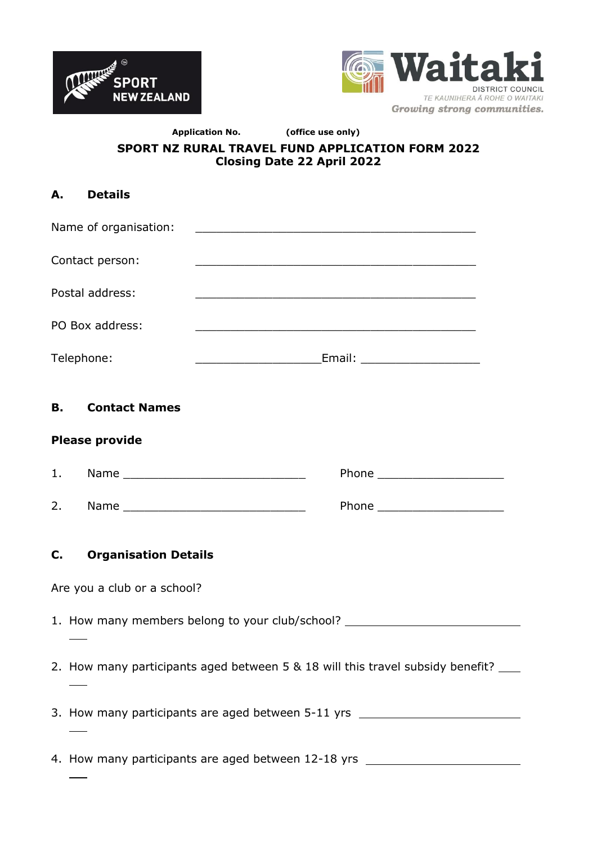



### **Application No. (office use only) SPORT NZ RURAL TRAVEL FUND APPLICATION FORM 2022 Closing Date 22 April 2022**

| А.              | <b>Details</b>                                                                     |                                                                                                                      |  |  |  |  |  |
|-----------------|------------------------------------------------------------------------------------|----------------------------------------------------------------------------------------------------------------------|--|--|--|--|--|
|                 | Name of organisation:                                                              | <u> 2002 - Johann John Stone, mars and deutscher Stone († 18</u>                                                     |  |  |  |  |  |
|                 | Contact person:                                                                    | <u> 1989 - Johann Stein, marwolaethau a bhann an t-Amhain an t-Amhain an t-Amhain an t-Amhain an t-Amhain an t-A</u> |  |  |  |  |  |
|                 | Postal address:                                                                    | and the control of the control of the control of the control of the control of the control of the control of the     |  |  |  |  |  |
| PO Box address: |                                                                                    | <u> 1990 - Johann John Harry Harry Harry Harry Harry Harry Harry Harry Harry Harry Harry Harry Harry Harry Harry</u> |  |  |  |  |  |
| Telephone:      |                                                                                    |                                                                                                                      |  |  |  |  |  |
|                 | <b>B.</b><br><b>Contact Names</b>                                                  |                                                                                                                      |  |  |  |  |  |
|                 | <b>Please provide</b>                                                              |                                                                                                                      |  |  |  |  |  |
| 1.              |                                                                                    |                                                                                                                      |  |  |  |  |  |
| 2.              |                                                                                    |                                                                                                                      |  |  |  |  |  |
| C.              | <b>Organisation Details</b>                                                        |                                                                                                                      |  |  |  |  |  |
|                 | Are you a club or a school?                                                        |                                                                                                                      |  |  |  |  |  |
|                 | 1. How many members belong to your club/school? ________________________________   |                                                                                                                      |  |  |  |  |  |
|                 | 2. How many participants aged between 5 & 18 will this travel subsidy benefit? ___ |                                                                                                                      |  |  |  |  |  |
|                 | 3. How many participants are aged between 5-11 yrs _____________________________   |                                                                                                                      |  |  |  |  |  |
|                 | 4. How many participants are aged between 12-18 yrs ____________________________   |                                                                                                                      |  |  |  |  |  |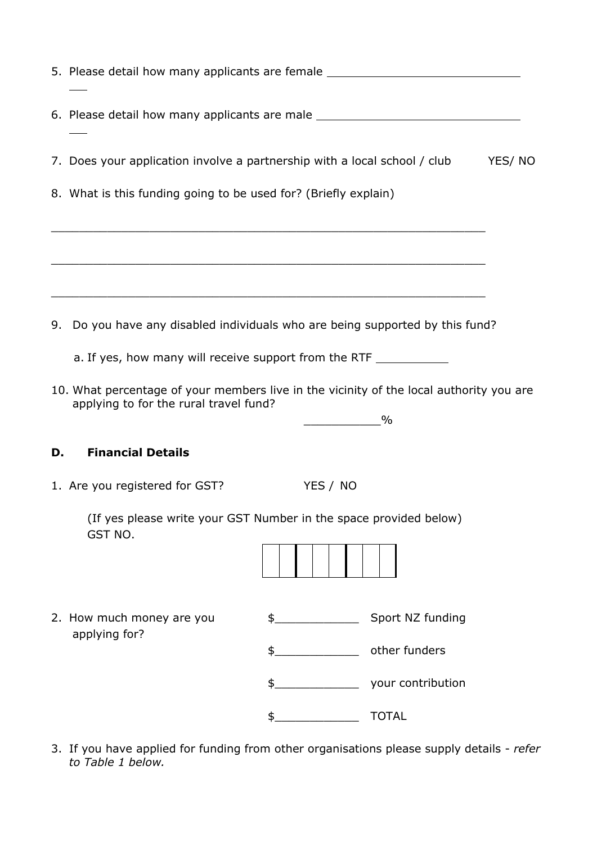|                                                                               | 5. Please detail how many applicants are female ________________________________                                                                                                                                                              |                      |                                                                        |  |  |  |  |
|-------------------------------------------------------------------------------|-----------------------------------------------------------------------------------------------------------------------------------------------------------------------------------------------------------------------------------------------|----------------------|------------------------------------------------------------------------|--|--|--|--|
|                                                                               | 6. Please detail how many applicants are male __________________________________                                                                                                                                                              |                      |                                                                        |  |  |  |  |
|                                                                               | 7. Does your application involve a partnership with a local school / club<br>YES/NO                                                                                                                                                           |                      |                                                                        |  |  |  |  |
|                                                                               | 8. What is this funding going to be used for? (Briefly explain)<br><u> 1989 - Johann Stoff, amerikansk politik (* 1908)</u>                                                                                                                   |                      |                                                                        |  |  |  |  |
|                                                                               | <u> 1989 - Johann Stoff, amerikan bestein de stad in de stad in de stad in de stad in de stad in de stad in de st</u><br><u> 1989 - Jan James James James James James James James James James James James James James James James James J</u> |                      |                                                                        |  |  |  |  |
| 9. Do you have any disabled individuals who are being supported by this fund? |                                                                                                                                                                                                                                               |                      |                                                                        |  |  |  |  |
|                                                                               | a. If yes, how many will receive support from the RTF __________________________                                                                                                                                                              |                      |                                                                        |  |  |  |  |
|                                                                               | 10. What percentage of your members live in the vicinity of the local authority you are<br>applying to for the rural travel fund?<br>$\sim$ $\sim$ $\sim$ $\sim$                                                                              |                      |                                                                        |  |  |  |  |
| D.                                                                            | <b>Financial Details</b>                                                                                                                                                                                                                      |                      |                                                                        |  |  |  |  |
|                                                                               | 1. Are you registered for GST?                                                                                                                                                                                                                | YES / NO             |                                                                        |  |  |  |  |
|                                                                               | (If yes please write your GST Number in the space provided below)<br>GST NO.                                                                                                                                                                  |                      |                                                                        |  |  |  |  |
|                                                                               | 2. How much money are you<br>applying for?                                                                                                                                                                                                    | \$<br>\$<br>\$<br>\$ | Sport NZ funding<br>other funders<br>your contribution<br><b>TOTAL</b> |  |  |  |  |
|                                                                               |                                                                                                                                                                                                                                               |                      |                                                                        |  |  |  |  |

3. If you have applied for funding from other organisations please supply details - *refer to Table 1 below.*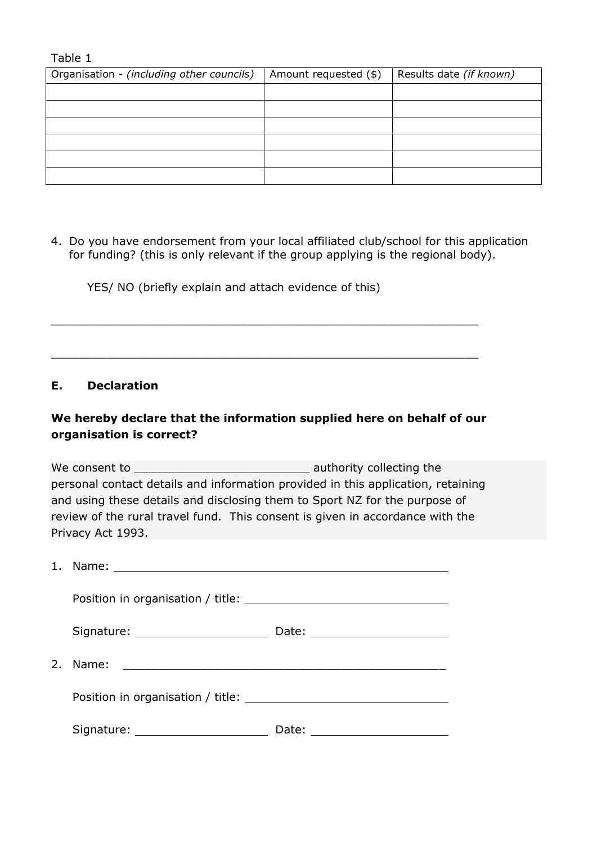Table 1

| Organisation - (including other councils) | Amount requested (\$) | Results date (if known) |
|-------------------------------------------|-----------------------|-------------------------|
|                                           |                       |                         |
|                                           |                       |                         |
|                                           |                       |                         |
|                                           |                       |                         |
|                                           |                       |                         |
|                                           |                       |                         |

4. Do you have endorsement from your local affiliated club/school for this application for funding? (this is only relevant if the group applying is the regional body).

YES/ NO (briefly explain and attach evidence of this)

#### **E. Declaration**

# **We hereby declare that the information supplied here on behalf of our organisation is correct?**

 $\_$  , and the contribution of the contribution of  $\mathcal{L}_\mathcal{A}$  , and the contribution of  $\mathcal{L}_\mathcal{A}$  , and the contribution of  $\mathcal{L}_\mathcal{A}$ 

 $\_$  , and the set of the set of the set of the set of the set of the set of the set of the set of the set of the set of the set of the set of the set of the set of the set of the set of the set of the set of the set of th

We consent to **We consent to the set of the set of the set of the set of the set of the set of the set of the set of the set of the set of the set of the set of the set of the set of the set of the set of the set of the se** personal contact details and information provided in this application, retaining and using these details and disclosing them to Sport NZ for the purpose of review of the rural travel fund. This consent is given in accordance with the Privacy Act 1993.

| Signature: 2000 March 2010 March 2010                                                                                                                                                                                          | Date: _________________________                                                                                                  |  |  |
|--------------------------------------------------------------------------------------------------------------------------------------------------------------------------------------------------------------------------------|----------------------------------------------------------------------------------------------------------------------------------|--|--|
|                                                                                                                                                                                                                                |                                                                                                                                  |  |  |
| Position in organisation / title: \\connection = \\connection = \\connection = \\connection = \\connection = \\connection = \\connection = \\connection = \\connection = \\connection = \\connection = \\connection = \\connec |                                                                                                                                  |  |  |
| Signature: _______________________                                                                                                                                                                                             | Date:<br><u> 2000 - Andrea Albert III, am bhaile ann an t-Iomraid ann an t-Iomraid ann an t-Iomraid ann an t-Iomraid ann an </u> |  |  |